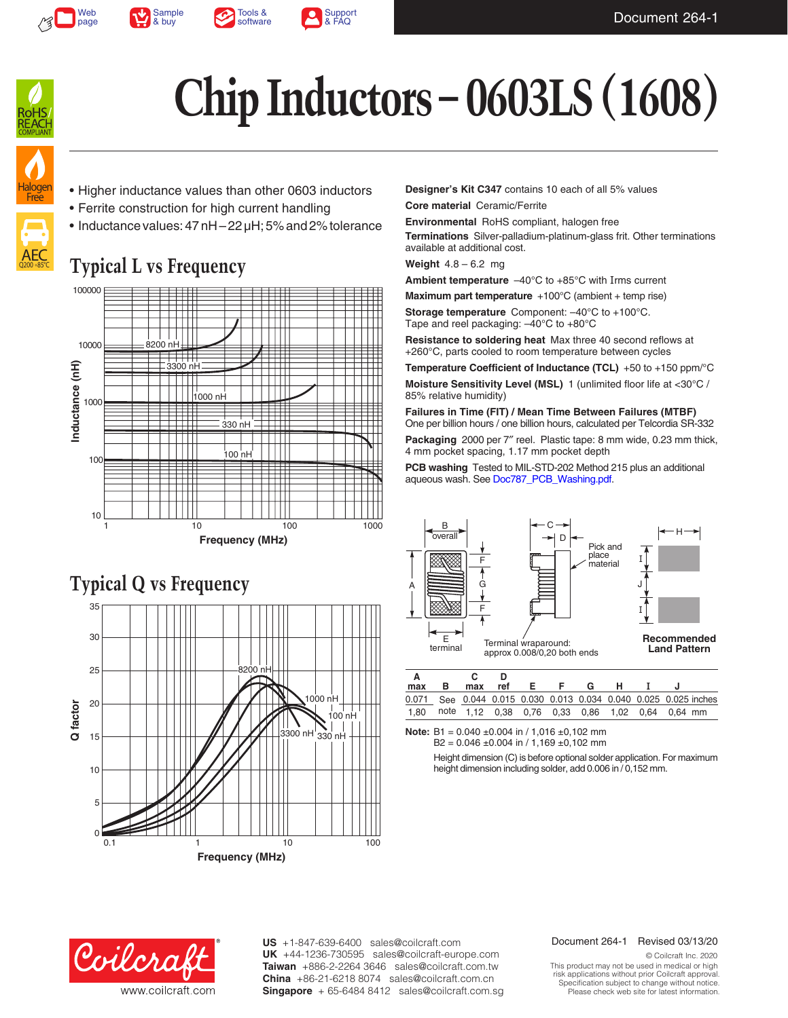



Tools & [software](http://www.coilcraft.com/apps/rf_tools/)





# **Chip Inductors – 0603LS (1608)**

## Halogen **Free**

AEC Q200 +85°C

- Higher inductance values than other 0603 inductors
- Ferrite construction for high current handling
- Inductance values: 47 nH 22 µH; 5% and 2% tolerance

### **Typical L vs Frequency**





**Designer's Kit C347** contains 10 each of all 5% values

**Core material** Ceramic/Ferrite

**Environmental** RoHS compliant, halogen free

**Terminations** Silver-palladium-platinum-glass frit. Other terminations available at additional cost.

**Weight** 4.8 – 6.2 mg

**Ambient temperature** –40°C to +85°C with Irms current

**Maximum part temperature** +100°C (ambient + temp rise)

**Storage temperature** Component: –40°C to +100°C. Tape and reel packaging: –40°C to +80°C

**Resistance to soldering heat** Max three 40 second reflows at +260°C, parts cooled to room temperature between cycles

**Temperature Coefficient of Inductance (TCL)** +50 to +150 ppm/°C **Moisture Sensitivity Level (MSL)** 1 (unlimited floor life at <30°C / 85% relative humidity)

**Failures in Time (FIT) / Mean Time Between Failures (MTBF)** One per billion hours / one billion hours, calculated per Telcordia SR-332

**Packaging** 2000 per 7″ reel. Plastic tape: 8 mm wide, 0.23 mm thick, 4 mm pocket spacing, 1.17 mm pocket depth

**PCB washing** Tested to MIL-STD-202 Method 215 plus an additional aqueous wash. See [Doc787\\_PCB\\_Washing.pdf](http://www.coilcraft.com/pdfs/Doc787_PCB_Washing.pdf).



| max                                                              | в. | max |  | ref E F | G | . н. |  |  |
|------------------------------------------------------------------|----|-----|--|---------|---|------|--|--|
| 0.071 See 0.044 0.015 0.030 0.013 0.034 0.040 0.025 0.025 inches |    |     |  |         |   |      |  |  |
| 1.80 note 1,12 0.38 0.76 0,33 0,86 1,02 0,64 0,64 mm             |    |     |  |         |   |      |  |  |

**Note:** B1 = 0.040 ±0.004 in / 1,016 ±0,102 mm  $B2 = 0.046 \pm 0.004$  in / 1,169  $\pm 0.102$  mm

> Height dimension (C) is before optional solder application. For maximum height dimension including solder, add 0.006 in / 0,152 mm.



**US** +1-847-639-6400 sales@coilcraft.com +44-1236-730595 sales@coilcraft-europe.com **UK** +886-2-2264 3646 sales@coilcraft.com.tw **Taiwan** +86-21-6218 8074 sales@coilcraft.com.cn **China** Singapore + 65-6484 8412 sales@coilcraft.com.sg

#### Document 264-1 Revised 03/13/20

© Coilcraft Inc. 2020 This product may not be used in medical or high risk applications without prior Coilcraft approval. Specification subject to change without notice. Please check web site for latest information.